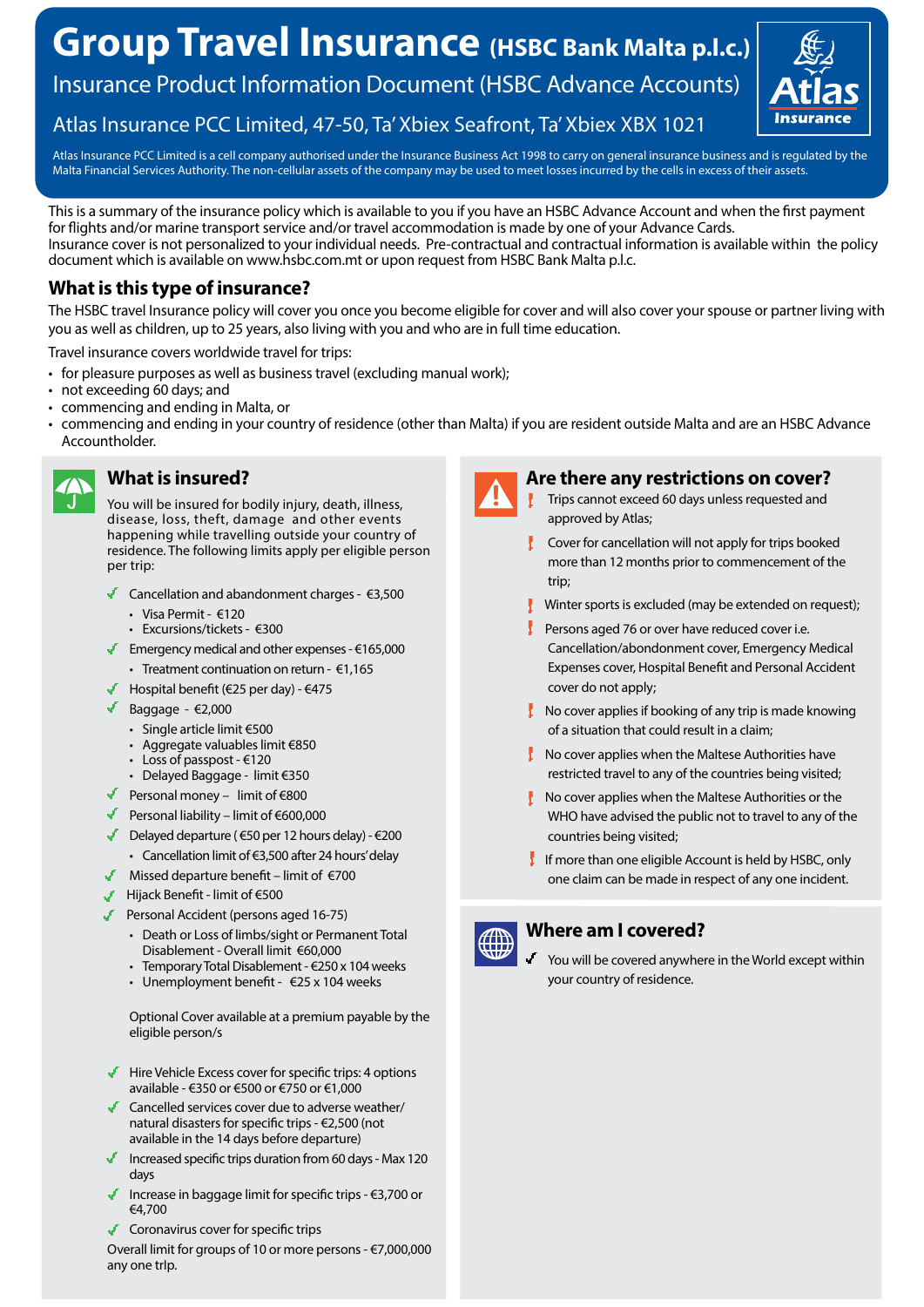# **Group Travel Insurance (HSBC Bank Malta p.l.c.)**

Insurance Product Information Document (HSBC Advance Accounts)



# Atlas Insurance PCC Limited, 47-50, Ta' Xbiex Seafront, Ta' Xbiex XBX 1021

Atlas Insurance PCC Limited is a cell company authorised under the Insurance Business Act 1998 to carry on general insurance business and is regulated by the Malta Financial Services Authority. The non-cellular assets of the company may be used to meet losses incurred by the cells in excess of their assets.

This is a summary of the insurance policy which is available to you if you have an HSBC Advance Account and when the first payment for flights and/or marine transport service and/or travel accommodation is made by one of your Advance Cards. Insurance cover is not personalized to your individual needs. Pre-contractual and contractual information is available within the policy document which is available on www.hsbc.com.mt or upon request from HSBC Bank Malta p.l.c.

# **What is this type of insurance?**

The HSBC travel Insurance policy will cover you once you become eligible for cover and will also cover your spouse or partner living with you as well as children, up to 25 years, also living with you and who are in full time education.

Travel insurance covers worldwide travel for trips:

- for pleasure purposes as well as business travel (excluding manual work);
- not exceeding 60 days; and
- commencing and ending in Malta, or
- commencing and ending in your country of residence (other than Malta) if you are resident outside Malta and are an HSBC Advance Accountholder.



# **What is insured?**

You will be insured for bodily injury, death, illness, disease, loss, theft, damage and other events happening while travelling outside your country of residence. The following limits apply per eligible person per trip:

- Cancellation and abandonment charges  $\epsilon$ 3,500
	- Visa Permit €120
	- Excursions/tickets €300
- Emergency medical and other expenses  $€165,000$
- Treatment continuation on return €1,165
- Hospital benefit (€25 per day)  $€475$
- Baggage  $\epsilon$ 2,000
	- Single article limit €500
	- Aggregate valuables limit €850
	- Loss of passpost €120
	- Delayed Baggage limit €350
- Personal money limit of  $\epsilon$ 800
- Personal liability limit of €600,000
- Delayed departure ( $\epsilon$ 50 per 12 hours delay)  $\epsilon$ 200
	- Cancellation limit of €3,500 after 24 hours' delay
- Missed departure benefit limit of €700
- Hijack Benefit limit of €500
- Personal Accident (persons aged 16-75)
	- Death or Loss of limbs/sight or Permanent Total Disablement - Overall limit €60,000
	- Temporary Total Disablement €250 x 104 weeks
	- Unemployment benefit €25 x 104 weeks

Optional Cover available at a premium payable by the eligible person/s

- $\blacktriangleright$  Hire Vehicle Excess cover for specific trips: 4 options available - €350 or €500 or €750 or €1,000
- Cancelled services cover due to adverse weather/ natural disasters for specific trips - €2,500 (not available in the 14 days before departure)
- Increased specific trips duration from 60 days Max 120 days
- Increase in baggage limit for specific trips  $-63,700$  or €4,700
- Coronavirus cover for specific trips

Overall limit for groups of 10 or more persons - €7,000,000 any one trIp.



#### **Are there any restrictions on cover?**

- Trips cannot exceed 60 days unless requested and approved by Atlas;
- Cover for cancellation will not apply for trips booked more than 12 months prior to commencement of the trip;
- **Winter sports is excluded (may be extended on request);**
- $\frac{1}{2}$  Persons aged 76 or over have reduced cover i.e. Cancellation/abondonment cover, Emergency Medical Expenses cover, Hospital Benefit and Personal Accident cover do not apply;
- $\mathbf I$  No cover applies if booking of any trip is made knowing of a situation that could result in a claim;
- $\mathbf I$  No cover applies when the Maltese Authorities have restricted travel to any of the countries being visited;
- No cover applies when the Maltese Authorities or the WHO have advised the public not to travel to any of the countries being visited;
- If more than one eligible Account is held by HSBC, only one claim can be made in respect of any one incident.



## **Where am I covered?**

You will be covered anywhere in the World except within your country of residence.